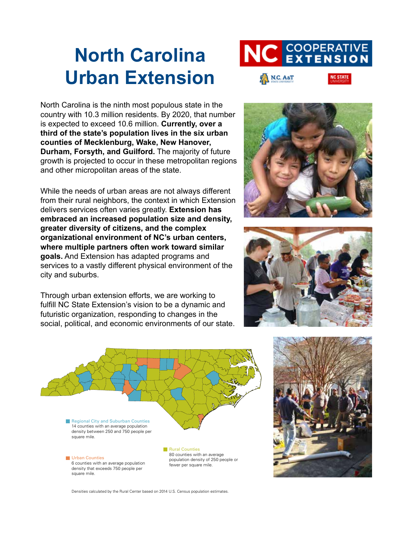# **North Carolina Urban Extension**



North Carolina is the ninth most populous state in the country with 10.3 million residents. By 2020, that number is expected to exceed 10.6 million. **Currently, over a third of the state's population lives in the six urban counties of Mecklenburg, Wake, New Hanover, Durham, Forsyth, and Guilford.** The majority of future growth is projected to occur in these metropolitan regions and other micropolitan areas of the state.

While the needs of urban areas are not always different from their rural neighbors, the context in which Extension delivers services often varies greatly. **Extension has embraced an increased population size and density, greater diversity of citizens, and the complex organizational environment of NC's urban centers, where multiple partners often work toward similar goals.** And Extension has adapted programs and services to a vastly different physical environment of the city and suburbs.

Through urban extension efforts, we are working to fulfill NC State Extension's vision to be a dynamic and futuristic organization, responding to changes in the social, political, and economic environments of our state.









Densities calculated by the Rural Center based on 2014 U.S. Census population estimates.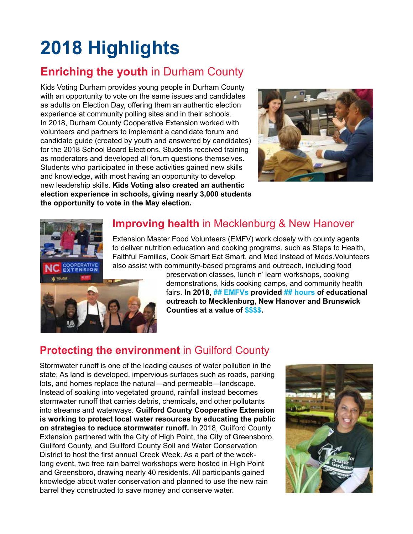# **2018 Highlights**

## **Enriching the youth in Durham County**

Kids Voting Durham provides young people in Durham County with an opportunity to vote on the same issues and candidates as adults on Election Day, offering them an authentic election experience at community polling sites and in their schools. In 2018, Durham County Cooperative Extension worked with volunteers and partners to implement a candidate forum and candidate guide (created by youth and answered by candidates) for the 2018 School Board Elections. Students received training as moderators and developed all forum questions themselves. Students who participated in these activities gained new skills and knowledge, with most having an opportunity to develop new leadership skills. **Kids Voting also created an authentic election experience in schools, giving nearly 3,000 students the opportunity to vote in the May election.** 



## **Improving health** in Mecklenburg & New Hanover

Extension Master Food Volunteers (EMFV) work closely with county agents to deliver nutrition education and cooking programs, such as Steps to Health, Faithful Families, Cook Smart Eat Smart, and Med Instead of Meds.Volunteers also assist with community-based programs and outreach, including food



**COOPERATIVE** 

preservation classes, lunch n' learn workshops, cooking demonstrations, kids cooking camps, and community health fairs. **In 2018, ## EMFVs provided ## hours of educational outreach to Mecklenburg, New Hanover and Brunswick Counties at a value of \$\$\$\$.** 

# **Protecting the environment** in Guilford County

Stormwater runoff is one of the leading causes of water pollution in the state. As land is developed, impervious surfaces such as roads, parking lots, and homes replace the natural—and permeable—landscape. Instead of soaking into vegetated ground, rainfall instead becomes stormwater runoff that carries debris, chemicals, and other pollutants into streams and waterways. **Guilford County Cooperative Extension is working to protect local water resources by educating the public on strategies to reduce stormwater runoff.** In 2018, Guilford County Extension partnered with the City of High Point, the City of Greensboro, Guilford County, and Guilford County Soil and Water Conservation District to host the first annual Creek Week. As a part of the weeklong event, two free rain barrel workshops were hosted in High Point and Greensboro, drawing nearly 40 residents. All participants gained knowledge about water conservation and planned to use the new rain barrel they constructed to save money and conserve water.

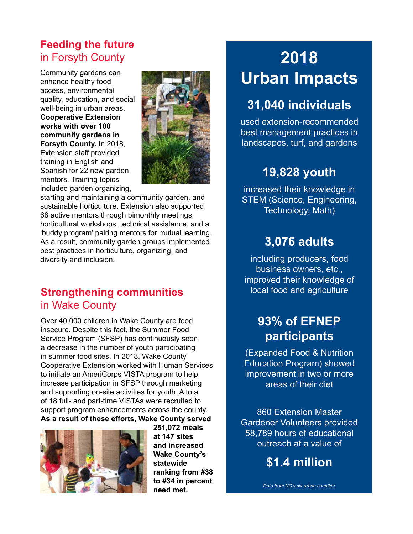## **Feeding the future**  in Forsyth County

Community gardens can enhance healthy food access, environmental quality, education, and social well-being in urban areas. **Cooperative Extension works with over 100 community gardens in Forsyth County.** In 2018, Extension staff provided training in English and Spanish for 22 new garden mentors. Training topics included garden organizing,



starting and maintaining a community garden, and sustainable horticulture. Extension also supported 68 active mentors through bimonthly meetings, horticultural workshops, technical assistance, and a 'buddy program' pairing mentors for mutual learning. As a result, community garden groups implemented best practices in horticulture, organizing, and diversity and inclusion.

## **Strengthening communities**  in Wake County

Over 40,000 children in Wake County are food insecure. Despite this fact, the Summer Food Service Program (SFSP) has continuously seen a decrease in the number of youth participating in summer food sites. In 2018, Wake County Cooperative Extension worked with Human Services to initiate an AmeriCorps VISTA program to help increase participation in SFSP through marketing and supporting on-site activities for youth. A total of 18 full- and part-time VISTAs were recruited to support program enhancements across the county. **As a result of these efforts, Wake County served** 



**251,072 meals at 147 sites and increased Wake County's statewide ranking from #38 to #34 in percent need met.**

# **2018 Urban Impacts**

# **31,040 individuals**

used extension-recommended best management practices in landscapes, turf, and gardens

# **19,828 youth**

increased their knowledge in STEM (Science, Engineering, Technology, Math)

# **3,076 adults**

including producers, food business owners, etc., improved their knowledge of local food and agriculture

## **93% of EFNEP participants**

(Expanded Food & Nutrition Education Program) showed improvement in two or more areas of their diet

860 Extension Master Gardener Volunteers provided 58,789 hours of educational outreach at a value of

**\$1.4 million**

*Data from NC's six urban counties*